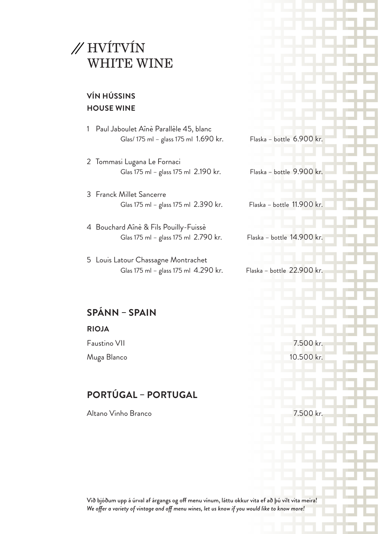

#### **VÍN HÚSSINS HOUSE WINE**

- 1 Paul Jaboulet Aînè Parallèle 45, blanc Glas/ 175 ml – glass 175 ml 1.690 kr. Flaska – bottle 6.900 kr.
- 2 Tommasi Lugana Le Fornaci Glas 175 ml – glass 175 ml 2.190 kr. Flaska – bottle 9.900 kr.
- 3 Franck Millet Sancerre Glas 175 ml – glass 175 ml 2.390 kr. Flaska – bottle 11.900 kr.
- 4 Bouchard Aînè & Fils Pouilly-Fuissè Glas 175 ml – glass 175 ml 2.790 kr. Flaska – bottle 14.900 kr.
- 5 Louis Latour Chassagne Montrachet Glas 175 ml – glass 175 ml 4.290 kr. Flaska – bottle 22.900 kr.

#### **SPÁNN – SPAIN**

#### **RIOJA**

Faustino VII 7.500 kr.

Muga Blanco 10.500 kr.

### **PORTÚGAL – PORTUGAL**

Altano Vinho Branco 7.500 kr.

Við bjóðum upp á úrval af árgangs og off menu vínum, láttu okkur vita ef að þú vilt vita meira! *We offer a variety of vintage and off menu wines, let us know if you would like to know more!*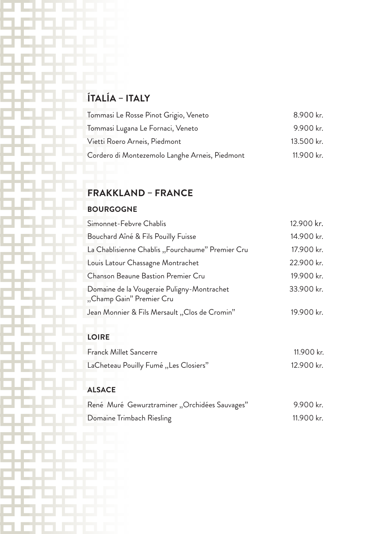# **ÍTALÍA – ITALY**

| Tommasi Le Rosse Pinot Grigio, Veneto          | 8.900 kr.  |
|------------------------------------------------|------------|
| Tommasi Lugana Le Fornaci, Veneto              | 9.900 kr.  |
| Vietti Roero Arneis, Piedmont                  | 13.500 kr. |
| Cordero di Montezemolo Langhe Arneis, Piedmont | 11.900 kr. |

### **FRAKKLAND – FRANCE**

#### **BOURGOGNE**

| Simonnet-Febvre Chablis                                                | 12.900 kr. |
|------------------------------------------------------------------------|------------|
| Bouchard Aîné & Fils Pouilly Fuisse                                    | 14.900 kr. |
| La Chablisienne Chablis "Fourchaume" Premier Cru                       | 17.900 kr. |
| Louis Latour Chassagne Montrachet                                      | 22.900 kr. |
| <b>Chanson Beaune Bastion Premier Cru</b>                              | 19.900 kr. |
| Domaine de la Vougeraie Puligny-Montrachet<br>"Champ Gain" Premier Cru | 33.900 kr. |
| Jean Monnier & Fils Mersault "Clos de Cromin"                          | 19.900 kr. |

#### **LOIRE**

| <b>Franck Millet Sancerre</b>         | 11.900 kr. |
|---------------------------------------|------------|
| LaCheteau Pouilly Fumé "Les Closiers" | 12.900 kr. |

### **ALSACE**

| René Muré Gewurztraminer "Orchidées Sauvages" | 9.900 kr.  |
|-----------------------------------------------|------------|
| Domaine Trimbach Riesling                     | 11.900 kr. |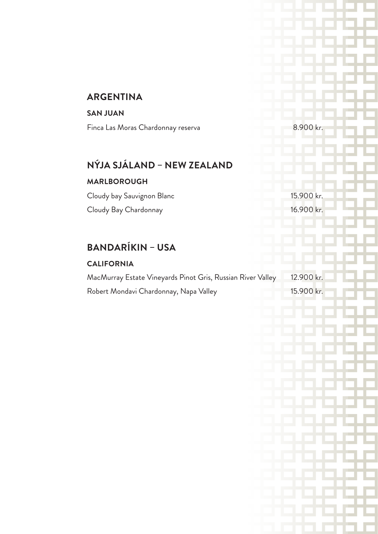### **ARGENTINA**

#### **SAN JUAN**

Finca Las Moras Chardonnay reserva 8.900 kr.

### **NÝJA SJÁLAND – NEW ZEALAND**

#### **MARLBOROUGH**

Cloudy bay Sauvignon Blanc 15.900 kr. Cloudy Bay Chardonnay 16.900 kr.

### **BANDARÍKIN – USA**

#### **CALIFORNIA**

| MacMurray Estate Vineyards Pinot Gris, Russian River Valley | 12.900 kr.  |
|-------------------------------------------------------------|-------------|
| Robert Mondavi Chardonnay, Napa Valley                      | –15.900 kr. |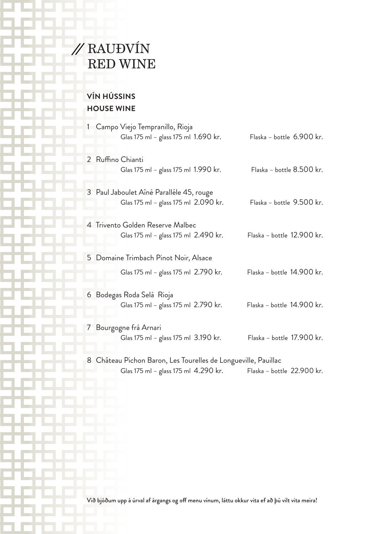

### **VÍN HÚSSINS HOUSE WINE**

| 1 - Campo Viejo Tempranillo, Rioja<br>Glas 175 ml – glass 175 ml 1.690 kr.                             | Flaska – bottle 6.900 kr.  |
|--------------------------------------------------------------------------------------------------------|----------------------------|
| 2 Ruffino Chianti<br>Glas 175 ml - glass 175 ml 1.990 kr.                                              | Flaska – bottle 8.500 kr.  |
| 3 Paul Jaboulet Aîné Paralléle 45, rouge<br>Glas 175 ml - glass 175 ml 2.090 kr.                       | Flaska – bottle 9.500 kr.  |
| 4 Trivento Golden Reserve Malbec<br>Glas 175 ml – glass 175 ml 2.490 kr.                               | Flaska – bottle 12.900 kr. |
| 5 Domaine Trimbach Pinot Noir, Alsace                                                                  |                            |
| Glas 175 ml – glass 175 ml 2.790 kr.                                                                   | Flaska – bottle 14.900 kr. |
| 6 Bodegas Roda Selá Rioja<br>Glas 175 ml – glass 175 ml 2.790 kr.                                      | Flaska - bottle 14.900 kr. |
| 7 Bourgogne frá Arnari<br>Glas 175 ml - glass 175 ml 3.190 kr.                                         | Flaska – bottle 17.900 kr. |
| 8 Château Pichon Baron, Les Tourelles de Longueville, Pauillac<br>Glas 175 ml – glass 175 ml 4.290 kr. | Flaska – bottle 22.900 kr. |

Við bjóðum upp á úrval af árgangs og off menu vínum, láttu okkur vita ef að þú vilt vita meira!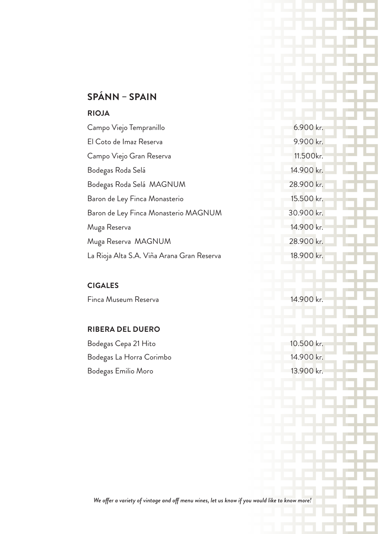### **SPÁNN – SPAIN**

#### **RIOJA**

| Campo Viejo Tempranillo                    | 6.900 kr.  |
|--------------------------------------------|------------|
| El Coto de Imaz Reserva                    | 9.900 kr.  |
| Campo Viejo Gran Reserva                   | 11.500kr.  |
| Bodegas Roda Selá                          | 14.900 kr. |
| Bodegas Roda Selá MAGNUM                   | 28.900 kr. |
| Baron de Ley Finca Monasterio              | 15.500 kr. |
| Baron de Ley Finca Monasterio MAGNUM       | 30.900 kr. |
| Muga Reserva                               | 14.900 kr. |
| Muga Reserva MAGNUM                        | 28.900 kr. |
| La Rioja Alta S.A. Viña Arana Gran Reserva | 18.900 kr. |
|                                            |            |

### **CIGALES**

Finca Museum Reserva 14.900 kr.

#### **RIBERA DEL DUERO**

| Bodegas Cepa 21 Hito     | 10.500 kr. |
|--------------------------|------------|
| Bodegas La Horra Corimbo | 14.900 kr. |
| Bodegas Emilio Moro      | 13.900 kr. |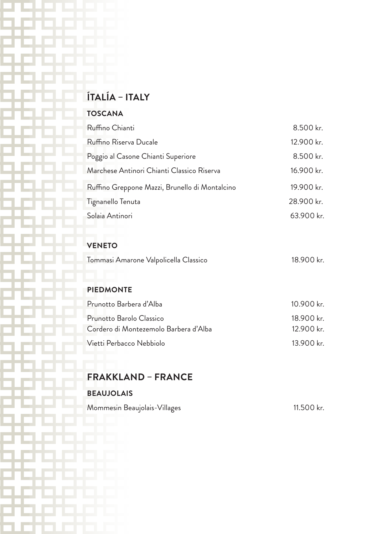## **ÍTALÍA – ITALY**

#### **TOSCANA**

| Ruffino Chianti                                | 8.500 kr.  |
|------------------------------------------------|------------|
| Ruffino Riserva Ducale                         | 12.900 kr. |
| Poggio al Casone Chianti Superiore             | 8.500 kr.  |
| Marchese Antinori Chianti Classico Riserva     | 16.900 kr. |
| Ruffino Greppone Mazzi, Brunello di Montalcino | 19.900 kr. |
| Tignanello Tenuta                              | 28.900 kr. |
| Solaia Antinori                                | 63.900 kr. |
|                                                |            |

#### **VENETO**

| Tommasi Amarone Valpolicella Classico | 18.900 kr. |
|---------------------------------------|------------|
|---------------------------------------|------------|

#### **PIEDMONTE**

| Prunotto Barbera d'Alba               | 10.900 kr. |  |
|---------------------------------------|------------|--|
| Prunotto Barolo Classico              | 18.900 kr. |  |
| Cordero di Montezemolo Barbera d'Alba | 12.900 kr. |  |
| Vietti Perbacco Nebbiolo              | 13.900 kr. |  |

### **FRAKKLAND – FRANCE**

#### **BEAUJOLAIS**

Mommesin Beaujolais-Villages 11.500 kr.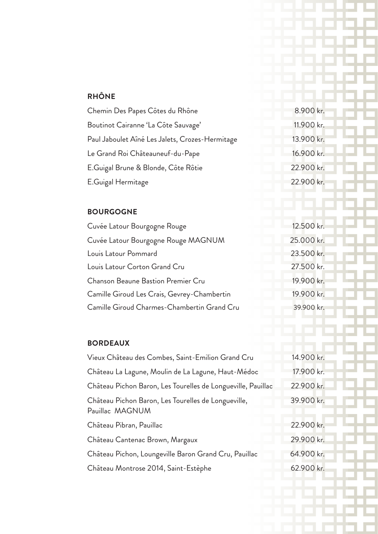#### **RHÔNE**

| Chemin Des Papes Côtes du Rhône                 | 8.900 kr.  |
|-------------------------------------------------|------------|
| Boutinot Cairanne 'La Côte Sauvage'             | 11.900 kr. |
| Paul Jaboulet Aîné Les Jalets, Crozes-Hermitage | 13.900 kr. |
| Le Grand Roi Châteauneuf-du-Pape                | 16.900 kr. |
| E.Guigal Brune & Blonde, Côte Rôtie             | 22.900 kr. |
| E.Guigal Hermitage                              | 22.900 kr. |

#### **BOURGOGNE**

| Cuvée Latour Bourgogne Rouge                | 12.500 kr. |
|---------------------------------------------|------------|
| Cuvée Latour Bourgogne Rouge MAGNUM         | 25.000 kr. |
| Louis Latour Pommard                        | 23.500 kr. |
| Louis Latour Corton Grand Cru               | 27.500 kr. |
| <b>Chanson Beaune Bastion Premier Cru</b>   | 19.900 kr. |
| Camille Giroud Les Crais, Gevrey-Chambertin | 19.900 kr. |
| Camille Giroud Charmes-Chambertin Grand Cru | 39.900 kr. |

#### **BORDEAUX**

| Vieux Château des Combes, Saint-Emilion Grand Cru                      | 14.900 kr. |
|------------------------------------------------------------------------|------------|
| Château La Lagune, Moulin de La Lagune, Haut-Médoc                     | 17.900 kr. |
| Château Pichon Baron, Les Tourelles de Longueville, Pauillac           | 22.900 kr. |
| Château Pichon Baron, Les Tourelles de Longueville,<br>Pauillac MAGNUM | 39.900 kr. |
| Château Pibran, Pauillac                                               | 22.900 kr. |
| Château Cantenac Brown, Margaux                                        | 29.900 kr. |
| Château Pichon, Loungeville Baron Grand Cru, Pauillac                  | 64.900 kr. |
| Château Montrose 2014, Saint-Estèphe                                   | 62.900 kr. |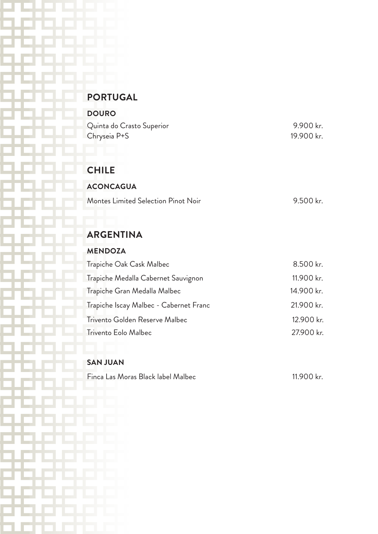### **PORTUGAL**

| <b>DOURO</b>              |            |
|---------------------------|------------|
| Quinta do Crasto Superior | 9.900 kr.  |
| Chryseia P+S              | 19.900 kr. |

#### **CHILE**

| <b>ACONCAGUA</b>                    |           |
|-------------------------------------|-----------|
| Montes Limited Selection Pinot Noir | 9.500 kr. |

### **ARGENTINA**

#### **MENDOZA**

| Trapiche Oak Cask Malbec               | 8.500 kr.  |
|----------------------------------------|------------|
| Trapiche Medalla Cabernet Sauvignon    | 11.900 kr. |
| Trapiche Gran Medalla Malbec           | 14.900 kr. |
| Trapiche Iscay Malbec - Cabernet Franc | 21.900 kr. |
| Trivento Golden Reserve Malbec         | 12.900 kr. |
| Trivento Eolo Malbec                   | 27.900 kr. |
|                                        |            |

#### **SAN JUAN**

Finca Las Moras Black label Malbec 11.900 kr.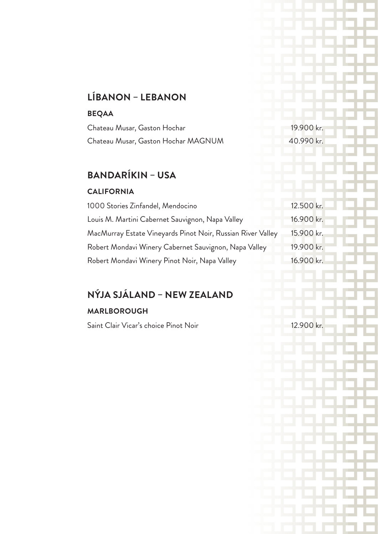### **LÍBANON – LEBANON**

#### **BEQAA**

| Chateau Musar, Gaston Hochar        | 19.900 kr. |
|-------------------------------------|------------|
| Chateau Musar, Gaston Hochar MAGNUM | 40.990 kr. |

## **BANDARÍKIN – USA**

#### **CALIFORNIA**

| 1000 Stories Zinfandel, Mendocino                           | 12.500 kr. |
|-------------------------------------------------------------|------------|
| Louis M. Martini Cabernet Sauvignon, Napa Valley            | 16.900 kr. |
| MacMurray Estate Vineyards Pinot Noir, Russian River Valley | 15.900 kr. |
| Robert Mondavi Winery Cabernet Sauvignon, Napa Valley       | 19.900 kr. |
| Robert Mondavi Winery Pinot Noir, Napa Valley               | 16.900 kr. |

### **NÝJA SJÁLAND – NEW ZEALAND**

#### **MARLBOROUGH**

Saint Clair Vicar's choice Pinot Noir 12.900 kr.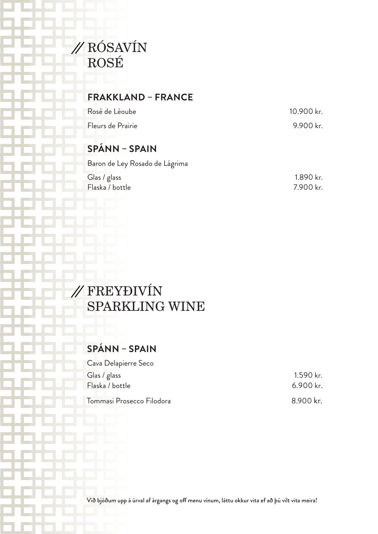

### **FRAKKLAND – FRANCE**

| Rosè de Lèoube    | 10.900 kr. |
|-------------------|------------|
| Fleurs de Prairie | 9.900 kr.  |

### **SPÁNN – SPAIN**

| Baron de Ley Rosado de Lágrima |           |
|--------------------------------|-----------|
| Glas / glass                   | 1.890 kr. |
| Flaska / bottle                | 7.900 kr. |

# FREYÐIVÍN SPARKLING WINE

### **SPÁNN – SPAIN**

| Cava Delapierre Seco      |             |
|---------------------------|-------------|
| Glas / glass              | 1.590 kr.   |
| Flaska / bottle           | $6.900$ kr. |
| Tommasi Prosecco Filodora | 8.900 kr.   |

Við bjóðum upp á úrval af árgangs og off menu vínum, láttu okkur vita ef að þú vilt vita meira!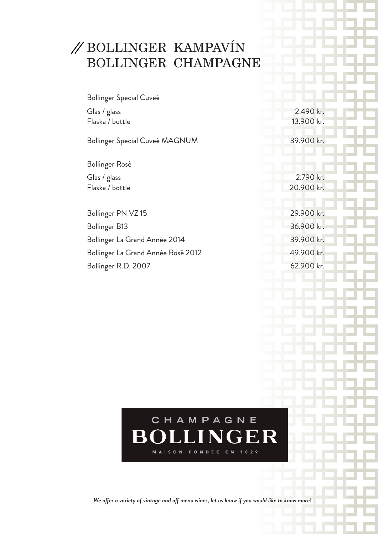# BOLLINGER KAMPAVÍN BOLLINGER CHAMPAGNE

| Bollinger Special Cuveé            |            |
|------------------------------------|------------|
| Glas / glass                       | 2.490 kr.  |
| Flaska / bottle                    | 13.900 kr. |
| Bollinger Special Cuveé MAGNUM     | 39.900 kr. |
| Bollinger Rosè                     |            |
| Glas / glass                       | 2.790 kr.  |
| Flaska / bottle                    | 20.900 kr. |
|                                    |            |
| Bollinger PN VZ 15                 | 29.900 kr. |
| Bollinger B13                      | 36.900 kr. |
| Bollinger La Grand Année 2014      | 39.900 kr. |
| Bollinger La Grand Année Rosé 2012 | 49.900 kr. |
| Bollinger R.D. 2007                | 62.900 kr. |
|                                    |            |



*We offer a variety of vintage and off menu wines, let us know if you would like to know more!*